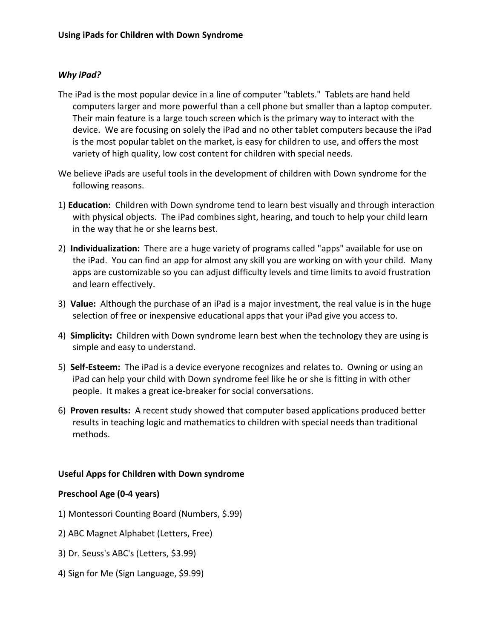## *Why iPad?*

- The iPad is the most popular device in a line of computer "tablets." Tablets are hand held computers larger and more powerful than a cell phone but smaller than a laptop computer. Their main feature is a large touch screen which is the primary way to interact with the device. We are focusing on solely the iPad and no other tablet computers because the iPad is the most popular tablet on the market, is easy for children to use, and offers the most variety of high quality, low cost content for children with special needs.
- We believe iPads are useful tools in the development of children with Down syndrome for the following reasons.
- 1) **Education:** Children with Down syndrome tend to learn best visually and through interaction with physical objects. The iPad combines sight, hearing, and touch to help your child learn in the way that he or she learns best.
- 2) **Individualization:** There are a huge variety of programs called "apps" available for use on the iPad. You can find an app for almost any skill you are working on with your child. Many apps are customizable so you can adjust difficulty levels and time limits to avoid frustration and learn effectively.
- 3) **Value:** Although the purchase of an iPad is a major investment, the real value is in the huge selection of free or inexpensive educational apps that your iPad give you access to.
- 4) **Simplicity:** Children with Down syndrome learn best when the technology they are using is simple and easy to understand.
- 5) **Self-Esteem:** The iPad is a device everyone recognizes and relates to. Owning or using an iPad can help your child with Down syndrome feel like he or she is fitting in with other people. It makes a great ice-breaker for social conversations.
- 6) **Proven results:** A recent study showed that computer based applications produced better results in teaching logic and mathematics to children with special needs than traditional methods.

## **Useful Apps for Children with Down syndrome**

#### **Preschool Age (0-4 years)**

- 1) Montessori Counting Board (Numbers, \$.99)
- 2) ABC Magnet Alphabet (Letters, Free)
- 3) Dr. Seuss's ABC's (Letters, \$3.99)
- 4) Sign for Me (Sign Language, \$9.99)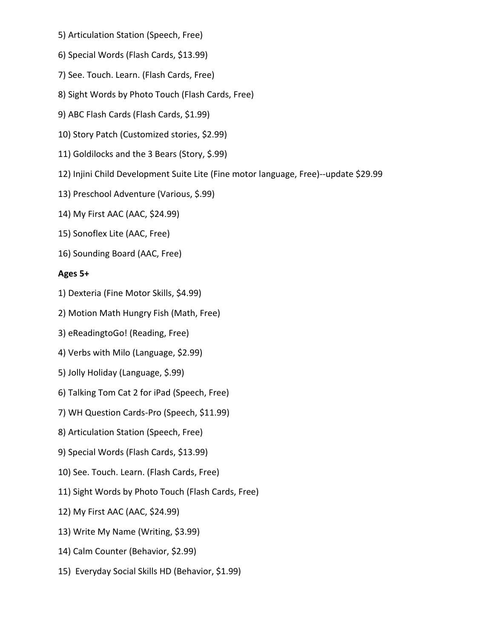- 5) Articulation Station (Speech, Free)
- 6) Special Words (Flash Cards, \$13.99)
- 7) See. Touch. Learn. (Flash Cards, Free)
- 8) Sight Words by Photo Touch (Flash Cards, Free)
- 9) ABC Flash Cards (Flash Cards, \$1.99)
- 10) Story Patch (Customized stories, \$2.99)
- 11) Goldilocks and the 3 Bears (Story, \$.99)
- 12) Injini Child Development Suite Lite (Fine motor language, Free)--update \$29.99
- 13) Preschool Adventure (Various, \$.99)
- 14) My First AAC (AAC, \$24.99)
- 15) Sonoflex Lite (AAC, Free)
- 16) Sounding Board (AAC, Free)

## **Ages 5+**

- 1) Dexteria (Fine Motor Skills, \$4.99)
- 2) Motion Math Hungry Fish (Math, Free)
- 3) eReadingtoGo! (Reading, Free)
- 4) Verbs with Milo (Language, \$2.99)
- 5) Jolly Holiday (Language, \$.99)
- 6) Talking Tom Cat 2 for iPad (Speech, Free)
- 7) WH Question Cards-Pro (Speech, \$11.99)
- 8) Articulation Station (Speech, Free)
- 9) Special Words (Flash Cards, \$13.99)
- 10) See. Touch. Learn. (Flash Cards, Free)
- 11) Sight Words by Photo Touch (Flash Cards, Free)
- 12) My First AAC (AAC, \$24.99)
- 13) Write My Name (Writing, \$3.99)
- 14) Calm Counter (Behavior, \$2.99)
- 15) Everyday Social Skills HD (Behavior, \$1.99)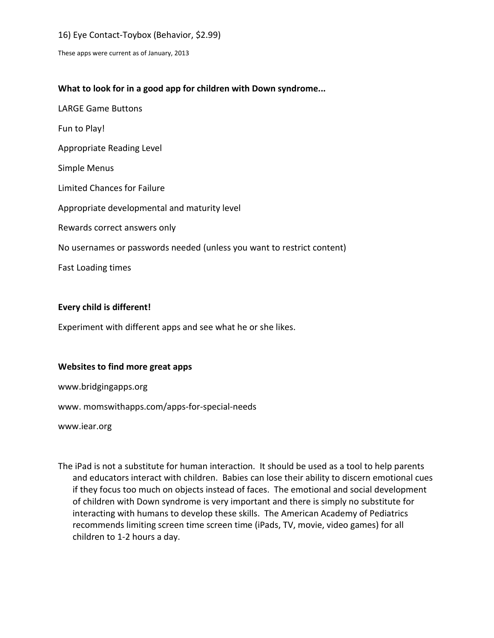## 16) Eye Contact-Toybox (Behavior, \$2.99)

These apps were current as of January, 2013

## **What to look for in a good app for children with Down syndrome...**

LARGE Game Buttons Fun to Play! Appropriate Reading Level Simple Menus Limited Chances for Failure Appropriate developmental and maturity level Rewards correct answers only No usernames or passwords needed (unless you want to restrict content) Fast Loading times

#### **Every child is different!**

Experiment with different apps and see what he or she likes.

#### **Websites to find more great apps**

www.bridgingapps.org

www. momswithapps.com/apps-for-special-needs

www.iear.org

The iPad is not a substitute for human interaction. It should be used as a tool to help parents and educators interact with children. Babies can lose their ability to discern emotional cues if they focus too much on objects instead of faces. The emotional and social development of children with Down syndrome is very important and there is simply no substitute for interacting with humans to develop these skills. The American Academy of Pediatrics recommends limiting screen time screen time (iPads, TV, movie, video games) for all children to 1-2 hours a day.